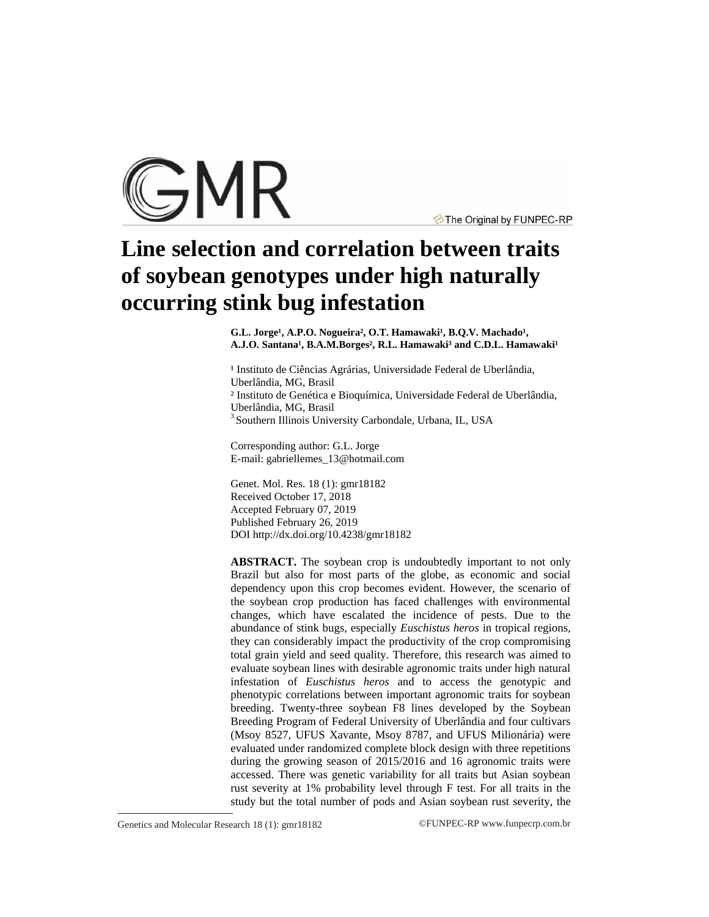

The Original by FUNPEC-RP

# **Line selection and correlation between traits of soybean genotypes under high naturally occurring stink bug infestation**

G.L. Jorge<sup>1</sup>, A.P.O. Nogueira<sup>2</sup>, O.T. Hamawaki<sup>1</sup>, B.Q.V. Machado<sup>1</sup>, A.J.O. Santana<sup>1</sup>, B.A.M.Borges<sup>2</sup>, R.L. Hamawaki<sup>3</sup> and C.D.L. Hamawaki<sup>1</sup>

<sup>1</sup> Instituto de Ciências Agrárias, Universidade Federal de Uberlândia, Uberlândia, MG, Brasil ² Instituto de Genética e Bioquímica, Universidade Federal de Uberlândia, Uberlândia, MG, Brasil 3 Southern Illinois University Carbondale, Urbana, IL, USA

Corresponding author: G.L. Jorge E-mail: [gabriellemes\\_13@hotmail.com](mailto:gabriellemes_13@hotmail.com)

Genet. Mol. Res. 18 (1): gmr18182 Received October 17, 2018 Accepted February 07, 2019 Published February 26, 2019 DOI <http://dx.doi.org/10.4238/gmr18182>

**ABSTRACT.** The soybean crop is undoubtedly important to not only Brazil but also for most parts of the globe, as economic and social dependency upon this crop becomes evident. However, the scenario of the soybean crop production has faced challenges with environmental changes, which have escalated the incidence of pests. Due to the abundance of stink bugs, especially *Euschistus heros* in tropical regions, they can considerably impact the productivity of the crop compromising total grain yield and seed quality. Therefore, this research was aimed to evaluate soybean lines with desirable agronomic traits under high natural infestation of *Euschistus heros* and to access the genotypic and phenotypic correlations between important agronomic traits for soybean breeding. Twenty-three soybean F8 lines developed by the Soybean Breeding Program of Federal University of Uberlândia and four cultivars (Msoy 8527, UFUS Xavante, Msoy 8787, and UFUS Milionária) were evaluated under randomized complete block design with three repetitions during the growing season of 2015/2016 and 16 agronomic traits were accessed. There was genetic variability for all traits but Asian soybean rust severity at 1% probability level through F test. For all traits in the study but the total number of pods and Asian soybean rust severity, the

Genetics and Molecular Research 18 (1): gmr18182 ©FUNPEC-RP [www.funpecrp.com.br](http://www.funpecrp.com.br)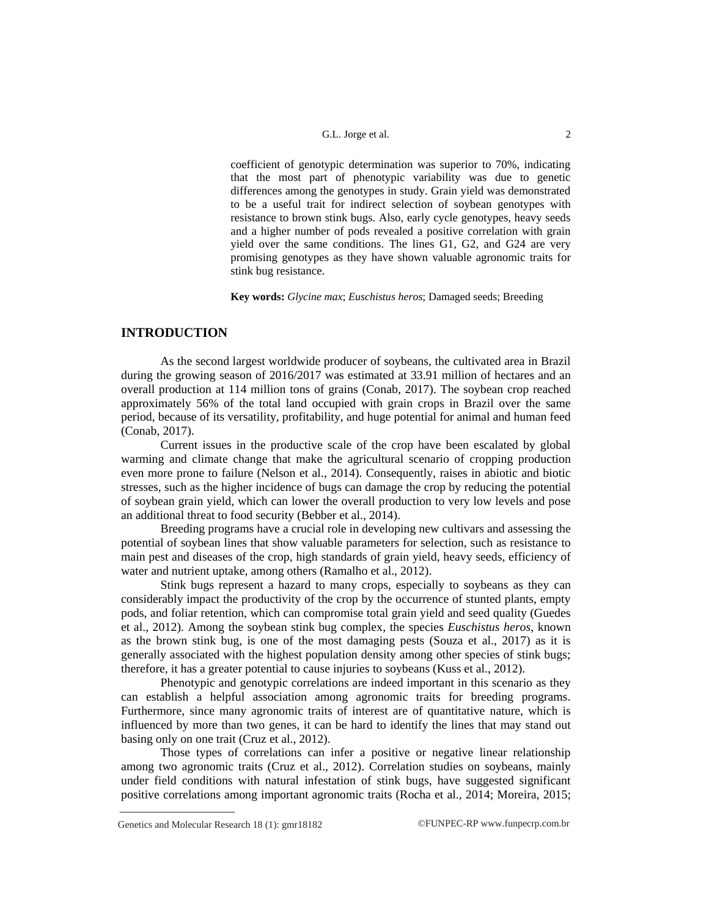coefficient of genotypic determination was superior to 70%, indicating that the most part of phenotypic variability was due to genetic differences among the genotypes in study. Grain yield was demonstrated to be a useful trait for indirect selection of soybean genotypes with resistance to brown stink bugs. Also, early cycle genotypes, heavy seeds and a higher number of pods revealed a positive correlation with grain yield over the same conditions. The lines G1, G2, and G24 are very promising genotypes as they have shown valuable agronomic traits for stink bug resistance.

**Key words:** *Glycine max*; *Euschistus heros*; Damaged seeds; Breeding

### **INTRODUCTION**

As the second largest worldwide producer of soybeans, the cultivated area in Brazil during the growing season of 2016/2017 was estimated at 33.91 million of hectares and an overall production at 114 million tons of grains (Conab, 2017). The soybean crop reached approximately 56% of the total land occupied with grain crops in Brazil over the same period, because of its versatility, profitability, and huge potential for animal and human feed (Conab, 2017).

Current issues in the productive scale of the crop have been escalated by global warming and climate change that make the agricultural scenario of cropping production even more prone to failure (Nelson et al., 2014). Consequently, raises in abiotic and biotic stresses, such as the higher incidence of bugs can damage the crop by reducing the potential of soybean grain yield, which can lower the overall production to very low levels and pose an additional threat to food security (Bebber et al., 2014).

Breeding programs have a crucial role in developing new cultivars and assessing the potential of soybean lines that show valuable parameters for selection, such as resistance to main pest and diseases of the crop, high standards of grain yield, heavy seeds, efficiency of water and nutrient uptake, among others (Ramalho et al., 2012).

Stink bugs represent a hazard to many crops, especially to soybeans as they can considerably impact the productivity of the crop by the occurrence of stunted plants, empty pods, and foliar retention, which can compromise total grain yield and seed quality (Guedes et al., 2012). Among the soybean stink bug complex, the species *Euschistus heros,* known as the brown stink bug, is one of the most damaging pests (Souza et al., 2017) as it is generally associated with the highest population density among other species of stink bugs; therefore, it has a greater potential to cause injuries to soybeans (Kuss et al., 2012).

Phenotypic and genotypic correlations are indeed important in this scenario as they can establish a helpful association among agronomic traits for breeding programs. Furthermore, since many agronomic traits of interest are of quantitative nature, which is influenced by more than two genes, it can be hard to identify the lines that may stand out basing only on one trait (Cruz et al., 2012).

Those types of correlations can infer a positive or negative linear relationship among two agronomic traits (Cruz et al., 2012). Correlation studies on soybeans, mainly under field conditions with natural infestation of stink bugs, have suggested significant positive correlations among important agronomic traits (Rocha et al., 2014; Moreira, 2015;

Genetics and Molecular Research 18 (1): gmr18182 ©FUNPEC-RP [www.funpecrp.com.br](http://www.funpecrp.com.br)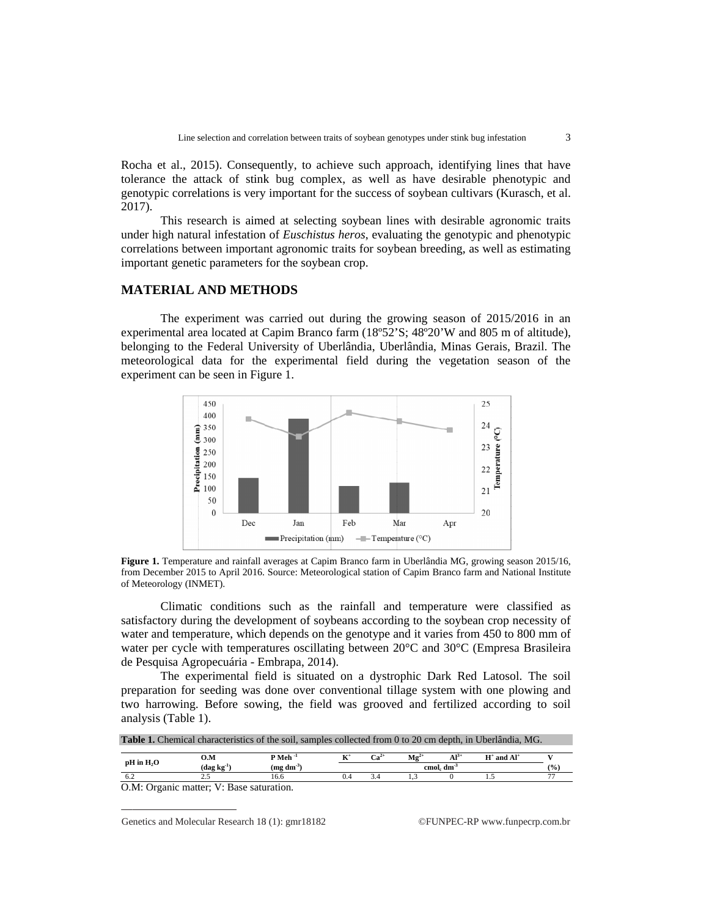Rocha et al., 2015 tolerance the attack of stink bug complex, as well as have desirable phenotypic and tolerance the attack of stink bug complex, as well as have desirable phenotypic and genotypic correlations is very important for the success of soybean cultivars (Kurasch, et al. 2017).

under high natural infestation of *Euschistus heros*, evaluating the genotypic and phenotypic correlations between important agronomic traits for soybean breeding, as well as estimating important genetic parameters for the soybean crop. This research is aimed at selecting soybean lines with desirable agronomic traits

### **MATERIAL AND METHODS**

experimental area located at Capim Branco farm (18°52'S; 48°20'W and 805 m of altitude), belonging to the Federal University of Uberlândia, Uberlândia, Minas Gerais, Brazil. The meteorological data for the experimental field during the vegetation season of the experiment can be seen in Figure 1. The experiment was carried out during the growing season of 2015/2016 in an eriment was carried out during the growing season of 2015/2016 in<br>a located at Capim Branco farm (18°52'S; 48°20'W and 805 m of altitu<br>Federal University of Uberlândia, Uberlândia, Minas Gerais, Brazil.<br>data for the experi



Figure 1. Temperature and rainfall averages at Capim Branco farm in Uberlândia MG, growing season 2015/16, from December 2015 to April 2016. Source: Meteorological station of Capim Branco farm and National Institute of Meteorology (INMET).

satisfactory during the development of soybeans according to the soybean crop necessity of water and temperature, which depends on the genotype and water per cycle with temperatures oscillating between  $20^{\circ}$ C and  $30^{\circ}$ C (Empresa Brasileira de Pesquisa Agropecuária Climatic conditions such as the rainfall and temperature were classified as ctory during the development of soybeans according to the soybean crop<br>and temperature, which depends on the genotype and it varies from 450 to<br>per cycle with temperatures oscillating between 20°C and 30°C (Empres<br>quisa Ag fall and temperature were classified according to the soybean crop necession otype and it varies from 450 to 800 m

The experimental field is situated on a dystrophic Dark Red Latosol. The soil preparation for seeding was done over conventional tillage system with one plowing and two harrowing. Before sowing, the field was grooved and fertilized according to soil analysis (Table 1). The experimental field is situated on a dystrophic Dark Red Latosol. The soil

|               | <b>Table 1.</b> Chemical characteristics of the soil, samples collected from 0 to 20 cm depth, in Uberlândia, MG.<br>$\mathbf{M}\mathbf{g}^{2+}$<br>$Al^{3+}$<br>$\mathbf{Ca}^{2+}$<br>$P$ Meh <sup>-1</sup><br>$H^+$ and $Al^+$<br>0.M<br>$(dag kg-1)$<br>$(mg dm^3)$<br>cmol. dm <sup>3</sup><br>$\frac{9}{0}$ |      |  |  |  |  |  |  |
|---------------|------------------------------------------------------------------------------------------------------------------------------------------------------------------------------------------------------------------------------------------------------------------------------------------------------------------|------|--|--|--|--|--|--|
| $pH$ in $H2O$ |                                                                                                                                                                                                                                                                                                                  |      |  |  |  |  |  |  |
|               |                                                                                                                                                                                                                                                                                                                  |      |  |  |  |  |  |  |
| 6.2           |                                                                                                                                                                                                                                                                                                                  | 16.6 |  |  |  |  |  |  |

O.M: Organic matter; V: Base saturation.

Ge Genetics and Molecular Research 18 (1): gmr18182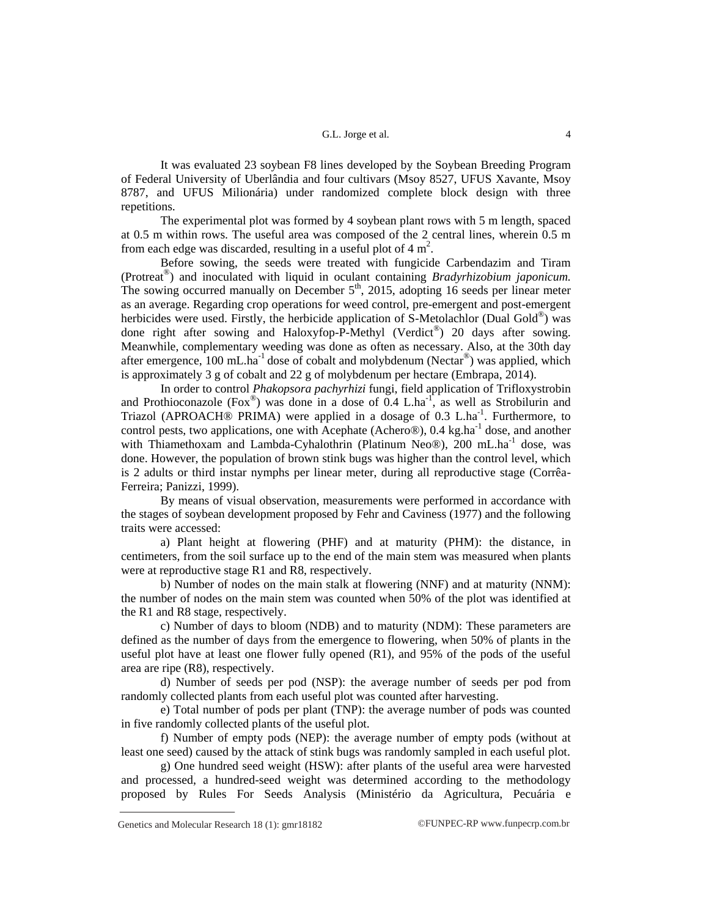It was evaluated 23 soybean F8 lines developed by the Soybean Breeding Program of Federal University of Uberlândia and four cultivars (Msoy 8527, UFUS Xavante, Msoy 8787, and UFUS Milionária) under randomized complete block design with three repetitions.

The experimental plot was formed by 4 soybean plant rows with 5 m length, spaced at 0.5 m within rows. The useful area was composed of the 2 central lines, wherein 0.5 m from each edge was discarded, resulting in a useful plot of  $4 \text{ m}^2$ .

Before sowing, the seeds were treated with fungicide Carbendazim and Tiram (Protreat® ) and inoculated with liquid in oculant containing *Bradyrhizobium japonicum.* The sowing occurred manually on December  $5<sup>th</sup>$ , 2015, adopting 16 seeds per linear meter as an average. Regarding crop operations for weed control, pre-emergent and post-emergent herbicides were used. Firstly, the herbicide application of S-Metolachlor (Dual Gold®) was done right after sowing and Haloxyfop-P-Methyl (Verdict®) 20 days after sowing. Meanwhile, complementary weeding was done as often as necessary. Also, at the 30th day after emergence, 100 mL.ha<sup>-1</sup> dose of cobalt and molybdenum (Nectar<sup>®</sup>) was applied, which is approximately 3 g of cobalt and 22 g of molybdenum per hectare (Embrapa, 2014).

In order to control *Phakopsora pachyrhizi* fungi, field application of Trifloxystrobin and Prothioconazole (Fox<sup>®</sup>) was done in a dose of  $0.4$  L.ha<sup>-1</sup>, as well as Strobilurin and Triazol (APROACH<sup>®</sup> PRIMA) were applied in a dosage of 0.3 L.ha<sup>-1</sup>. Furthermore, to control pests, two applications, one with Acephate (Achero®), 0.4 kg.ha<sup>-1</sup> dose, and another with Thiamethoxam and Lambda-Cyhalothrin (Platinum Neo®), 200 mL.ha<sup>-1</sup> dose, was done. However, the population of brown stink bugs was higher than the control level, which is 2 adults or third instar nymphs per linear meter, during all reproductive stage (Corrêa-Ferreira; Panizzi, 1999).

By means of visual observation, measurements were performed in accordance with the stages of soybean development proposed by Fehr and Caviness (1977) and the following traits were accessed:

a) Plant height at flowering (PHF) and at maturity (PHM): the distance, in centimeters, from the soil surface up to the end of the main stem was measured when plants were at reproductive stage R1 and R8, respectively.

b) Number of nodes on the main stalk at flowering (NNF) and at maturity (NNM): the number of nodes on the main stem was counted when 50% of the plot was identified at the R1 and R8 stage, respectively.

c) Number of days to bloom (NDB) and to maturity (NDM): These parameters are defined as the number of days from the emergence to flowering, when 50% of plants in the useful plot have at least one flower fully opened (R1), and 95% of the pods of the useful area are ripe (R8), respectively.

d) Number of seeds per pod (NSP): the average number of seeds per pod from randomly collected plants from each useful plot was counted after harvesting.

e) Total number of pods per plant (TNP): the average number of pods was counted in five randomly collected plants of the useful plot.

f) Number of empty pods (NEP): the average number of empty pods (without at least one seed) caused by the attack of stink bugs was randomly sampled in each useful plot.

g) One hundred seed weight (HSW): after plants of the useful area were harvested and processed, a hundred-seed weight was determined according to the methodology proposed by Rules For Seeds Analysis (Ministério da Agricultura, Pecuária e

Genetics and Molecular Research 18 (1):  $gmr18182$  ©FUNPEC-RP [www.funpecrp.com.br](http://www.funpecrp.com.br)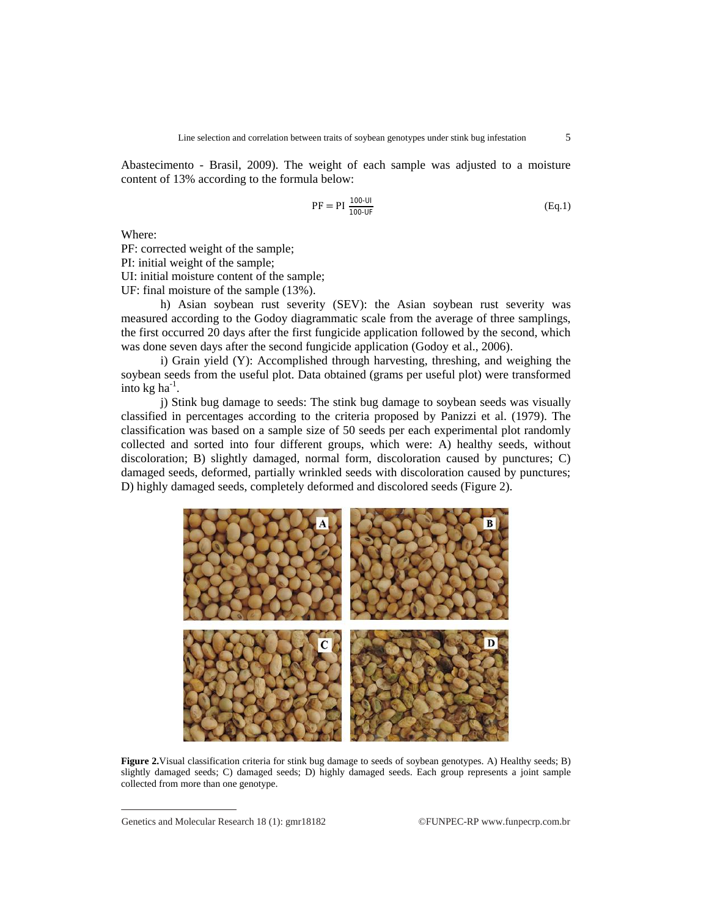Abastecimento - Brasil, 2009). The weight of each sample was adjusted to a moisture content of 13% according to the formula below:

$$
PF = PI \frac{100-UI}{100-UF}
$$
 (Eq.1)

Where:

PF: corrected weight of the sample;

PI: initial weight of the sample;

UI: initial moisture content of the sample;

UF: final moisture of the sample (13%).

h) Asian soybean rust severity (SEV): the Asian soybean rust severity was measured according to the Godoy diagrammatic scale from the average of three samplings, the first occurred 20 days after the first fungicide application followed by the second, which was done seven days after the second fungicide application (Godoy et al., 2006).

i) Grain yield (Y): Accomplished through harvesting, threshing, and weighing the soybean seeds from the useful plot. Data obtained (grams per useful plot) were transformed into kg ha $^{-1}$ .

j) Stink bug damage to seeds: The stink bug damage to soybean seeds was visually classified in percentages according to the criteria proposed by Panizzi et al. (1979). The classification was based on a sample size of 50 seeds per each experimental plot randomly collected and sorted into four different groups, which were: A) healthy seeds, without discoloration; B) slightly damaged, normal form, discoloration caused by punctures; C) damaged seeds, deformed, partially wrinkled seeds with discoloration caused by punctures; D) highly damaged seeds, completely deformed and discolored seeds (Figure 2).



**Figure 2.**Visual classification criteria for stink bug damage to seeds of soybean genotypes. A) Healthy seeds; B) slightly damaged seeds; C) damaged seeds; D) highly damaged seeds. Each group represents a joint sample collected from more than one genotype.

Genetics and Molecular Research 18 (1): gmr18182 ©FUNPEC-RP [www.funpecrp.com.br](http://www.funpecrp.com.br)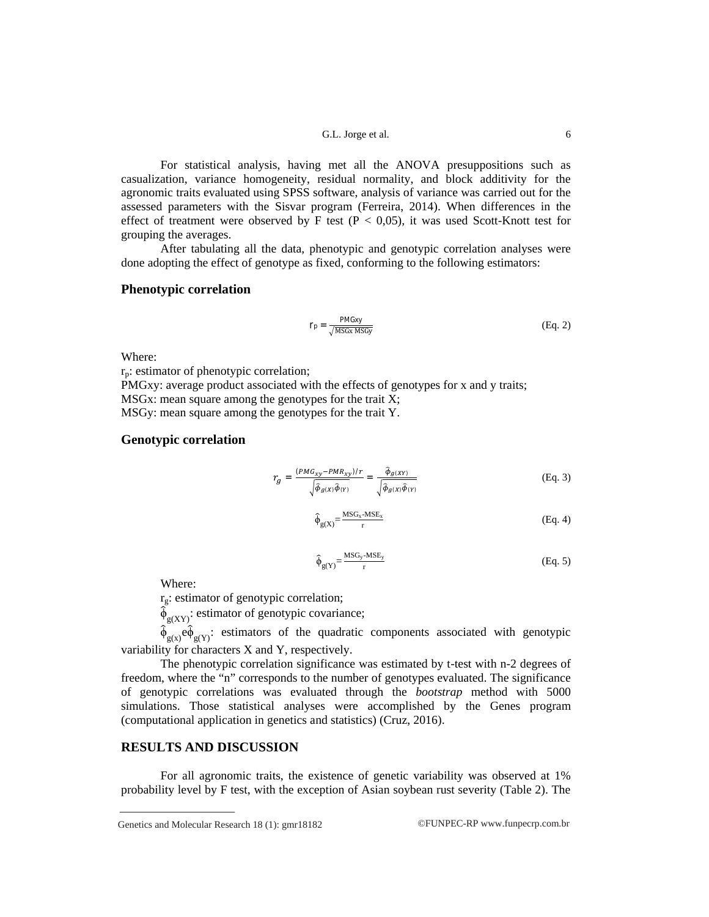For statistical analysis, having met all the ANOVA presuppositions such as casualization, variance homogeneity, residual normality, and block additivity for the agronomic traits evaluated using SPSS software, analysis of variance was carried out for the assessed parameters with the Sisvar program (Ferreira, 2014). When differences in the effect of treatment were observed by F test ( $P < 0.05$ ), it was used Scott-Knott test for grouping the averages.

After tabulating all the data, phenotypic and genotypic correlation analyses were done adopting the effect of genotype as fixed, conforming to the following estimators:

### **Phenotypic correlation**

$$
r_p = \frac{PMGxy}{\sqrt{MSGx MSGy}}
$$
 (Eq. 2)

Where:

 $r_p$ : estimator of phenotypic correlation;

PMGxy: average product associated with the effects of genotypes for x and y traits; MSGx: mean square among the genotypes for the trait X; MSGy: mean square among the genotypes for the trait Y.

### **Genotypic correlation**

$$
r_g = \frac{(PMG_{xy} - PMR_{xy})/r}{\sqrt{\hat{\phi}_{g(X)}\hat{\phi}_{(Y)}}} = \frac{\hat{\phi}_{g(XY)}}{\sqrt{\hat{\phi}_{g(X)}\hat{\phi}_{(Y)}}}
$$
(Eq. 3)

$$
\hat{\phi}_{g(X)} = \frac{\text{MSG}_x \text{-MSE}_x}{r}
$$
 (Eq. 4)

$$
\hat{\phi}_{g(Y)} = \frac{\text{MSG}_y \cdot \text{MSE}_y}{r}
$$
 (Eq. 5)

Where:

 $r_g$ : estimator of genotypic correlation;

 $\widetilde{\phi}_{g(XY)}$ : estimator of genotypic covariance;

 $\hat{\phi}_{g(x)}$  e $\hat{\phi}_{g(y)}$ : estimators of the quadratic components associated with genotypic variability for characters X and Y, respectively.

The phenotypic correlation significance was estimated by t-test with n-2 degrees of freedom, where the "n" corresponds to the number of genotypes evaluated. The significance of genotypic correlations was evaluated through the *bootstrap* method with 5000 simulations. Those statistical analyses were accomplished by the Genes program (computational application in genetics and statistics) (Cruz, 2016).

## **RESULTS AND DISCUSSION**

For all agronomic traits, the existence of genetic variability was observed at 1% probability level by F test, with the exception of Asian soybean rust severity (Table 2). The

Genetics and Molecular Research 18 (1):  $gmr18182$  ©FUNPEC-RP [www.funpecrp.com.br](http://www.funpecrp.com.br)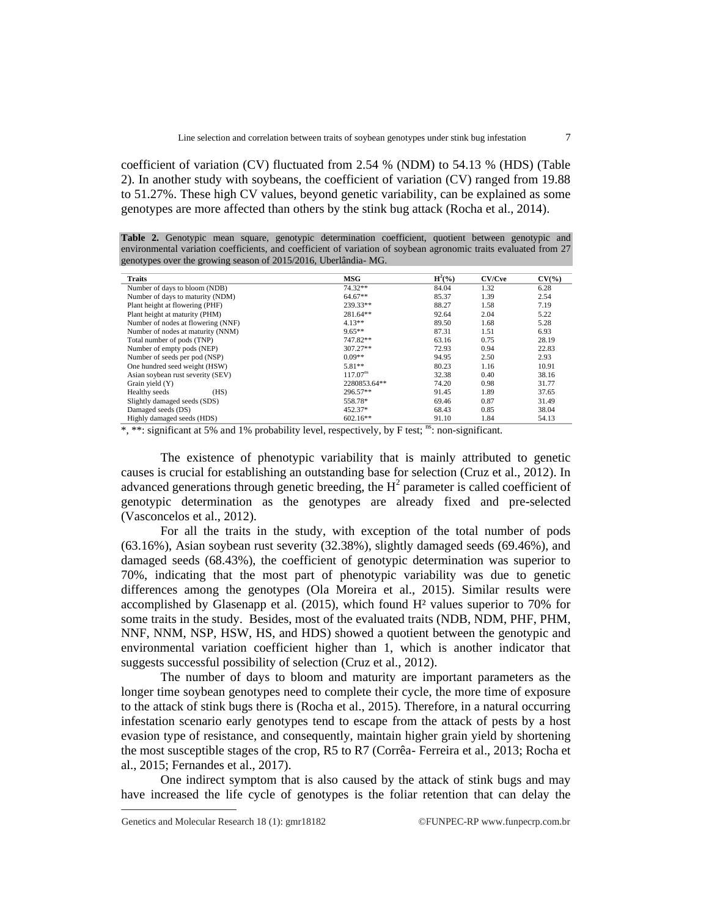coefficient of variation (CV) fluctuated from 2.54 % (NDM) to 54.13 % (HDS) (Table 2). In another study with soybeans, the coefficient of variation (CV) ranged from 19.88 to 51.27%. These high CV values, beyond genetic variability, can be explained as some genotypes are more affected than others by the stink bug attack (Rocha et al., 2014).

**Table 2.** Genotypic mean square, genotypic determination coefficient, quotient between genotypic and environmental variation coefficients, and coefficient of variation of soybean agronomic traits evaluated from 27 genotypes over the growing season of 2015/2016, Uberlândia- MG.

| <b>Traits</b>                      | <b>MSG</b>           | $H^2(\%)$ | CV/Cve | $CV(\% )$ |
|------------------------------------|----------------------|-----------|--------|-----------|
| Number of days to bloom (NDB)      | $74.32**$            | 84.04     | 1.32   | 6.28      |
| Number of days to maturity (NDM)   | $64.67**$            | 85.37     | 1.39   | 2.54      |
| Plant height at flowering (PHF)    | 239.33**             | 88.27     | 1.58   | 7.19      |
| Plant height at maturity (PHM)     | 281.64**             | 92.64     | 2.04   | 5.22      |
| Number of nodes at flowering (NNF) | $4.13**$             | 89.50     | 1.68   | 5.28      |
| Number of nodes at maturity (NNM)  | $9.65**$             | 87.31     | 1.51   | 6.93      |
| Total number of pods (TNP)         | 747.82**             | 63.16     | 0.75   | 28.19     |
| Number of empty pods (NEP)         | $307.27**$           | 72.93     | 0.94   | 22.83     |
| Number of seeds per pod (NSP)      | $0.09**$             | 94.95     | 2.50   | 2.93      |
| One hundred seed weight (HSW)      | $5.81**$             | 80.23     | 1.16   | 10.91     |
| Asian soybean rust severity (SEV)  | 117.07 <sup>ns</sup> | 32.38     | 0.40   | 38.16     |
| Grain yield (Y)                    | 2280853.64**         | 74.20     | 0.98   | 31.77     |
| Healthy seeds<br>(HS)              | 296.57**             | 91.45     | 1.89   | 37.65     |
| Slightly damaged seeds (SDS)       | 558.78*              | 69.46     | 0.87   | 31.49     |
| Damaged seeds (DS)                 | 452.37*              | 68.43     | 0.85   | 38.04     |
| Highly damaged seeds (HDS)         | $602.16**$           | 91.10     | 1.84   | 54.13     |

 $*$ ,  $**$ : significant at 5% and 1% probability level, respectively, by F test;  $\frac{ns}{n}$ : non-significant.

The existence of phenotypic variability that is mainly attributed to genetic causes is crucial for establishing an outstanding base for selection (Cruz et al., 2012). In advanced generations through genetic breeding, the  $H^2$  parameter is called coefficient of genotypic determination as the genotypes are already fixed and pre-selected (Vasconcelos et al., 2012).

For all the traits in the study, with exception of the total number of pods (63.16%), Asian soybean rust severity (32.38%), slightly damaged seeds (69.46%), and damaged seeds (68.43%), the coefficient of genotypic determination was superior to 70%, indicating that the most part of phenotypic variability was due to genetic differences among the genotypes (Ola Moreira et al., 2015). Similar results were accomplished by Glasenapp et al.  $(2015)$ , which found  $H<sup>2</sup>$  values superior to 70% for some traits in the study. Besides, most of the evaluated traits (NDB, NDM, PHF, PHM, NNF, NNM, NSP, HSW, HS, and HDS) showed a quotient between the genotypic and environmental variation coefficient higher than 1, which is another indicator that suggests successful possibility of selection (Cruz et al., 2012).

The number of days to bloom and maturity are important parameters as the longer time soybean genotypes need to complete their cycle, the more time of exposure to the attack of stink bugs there is (Rocha et al., 2015). Therefore, in a natural occurring infestation scenario early genotypes tend to escape from the attack of pests by a host evasion type of resistance, and consequently, maintain higher grain yield by shortening the most susceptible stages of the crop, R5 to R7 (Corrêa- Ferreira et al., 2013; Rocha et al., 2015; Fernandes et al., 2017).

One indirect symptom that is also caused by the attack of stink bugs and may have increased the life cycle of genotypes is the foliar retention that can delay the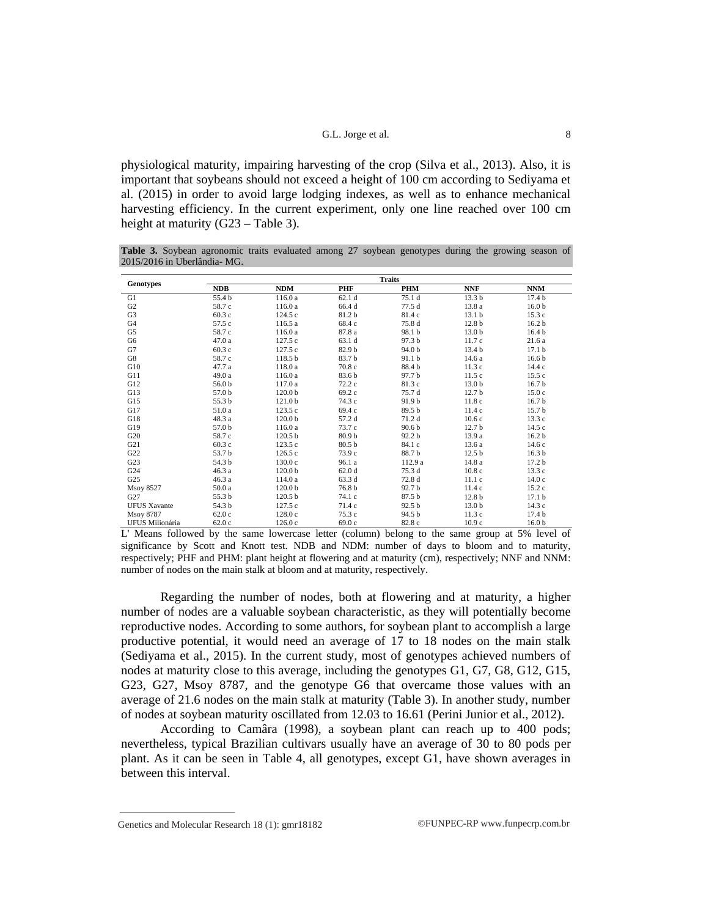physiological maturity, impairing harvesting of the crop (Silva et al., 2013). Also, it is important that soybeans should not exceed a height of 100 cm according to Sediyama et al. (2015) in order to avoid large lodging indexes, as well as to enhance mechanical harvesting efficiency. In the current experiment, only one line reached over 100 cm height at maturity (G23 – Table 3).

**Table 3.** Soybean agronomic traits evaluated among 27 soybean genotypes during the growing season of 2015/2016 in Uberlândia- MG.

|                     |            |                    |                   | <b>Traits</b>     |                   |                   |
|---------------------|------------|--------------------|-------------------|-------------------|-------------------|-------------------|
| <b>Genotypes</b>    | <b>NDB</b> | <b>NDM</b>         | <b>PHF</b>        | <b>PHM</b>        | <b>NNF</b>        | <b>NNM</b>        |
| G1                  | 55.4 b     | 116.0 a            | 62.1 <sub>d</sub> | 75.1 d            | 13.3 <sub>b</sub> | 17.4 <sub>b</sub> |
| G2                  | 58.7 c     | 116.0 a            | 66.4 d            | 77.5 d            | 13.8 a            | 16.0 <sub>b</sub> |
| G <sub>3</sub>      | 60.3c      | 124.5 c            | 81.2b             | 81.4 c            | 13.1 <sub>b</sub> | 15.3c             |
| G4                  | 57.5 c     | 116.5 a            | 68.4 c            | 75.8 d            | 12.8 <sub>b</sub> | 16.2 <sub>b</sub> |
| G5                  | 58.7 c     | 116.0 a            | 87.8 a            | 98.1 b            | 13.0 <sub>b</sub> | 16.4 <sub>b</sub> |
| G <sub>6</sub>      | 47.0a      | 127.5 c            | 63.1 d            | 97.3 b            | 11.7 c            | 21.6 a            |
| G7                  | 60.3c      | 127.5c             | 82.9 b            | 94.0 b            | 13.4 b            | 17.1 <sub>b</sub> |
| G8                  | 58.7 c     | 118.5 <sub>b</sub> | 83.7 b            | 91.1 <sub>b</sub> | 14.6 a            | 16.6 <sub>b</sub> |
| G10                 | 47.7 a     | 118.0 a            | 70.8 c            | 88.4b             | 11.3c             | 14.4c             |
| G11                 | 49.0 a     | 116.0 a            | 83.6 b            | 97.7 b            | 11.5c             | 15.5c             |
| G12                 | 56.0 b     | 117.0 a            | 72.2 c            | 81.3 c            | 13.0 <sub>b</sub> | 16.7 <sub>b</sub> |
| G13                 | 57.0 b     | 120.0 <sub>b</sub> | 69.2 c            | 75.7 d            | 12.7 <sub>b</sub> | 15.0c             |
| G15                 | 55.3 b     | 121.0 <sub>b</sub> | 74.3 c            | 91.9b             | 11.8c             | 16.7 <sub>b</sub> |
| G17                 | 51.0 a     | 123.5c             | 69.4 c            | 89.5 b            | 11.4c             | 15.7 <sub>b</sub> |
| G18                 | 48.3 a     | 120.0 <sub>b</sub> | 57.2 d            | 71.2 d            | 10.6c             | 13.3c             |
| G19                 | 57.0 b     | 116.0 a            | 73.7 c            | 90.6 <sub>b</sub> | 12.7 <sub>b</sub> | 14.5 c            |
| G20                 | 58.7 c     | 120.5 <sub>b</sub> | 80.9 <sub>b</sub> | 92.2 <sub>b</sub> | 13.9 a            | 16.2 <sub>b</sub> |
| G21                 | 60.3c      | 123.5c             | 80.5 <sub>b</sub> | 84.1 c            | 13.6 a            | 14.6 c            |
| G22                 | 53.7 b     | 126.5c             | 73.9 c            | 88.7b             | 12.5 <sub>b</sub> | 16.3 <sub>b</sub> |
| G23                 | 54.3 b     | 130.0c             | 96.1 a            | 112.9 a           | 14.8 a            | 17.2 <sub>b</sub> |
| G24                 | 46.3 a     | 120.0 <sub>b</sub> | 62.0 <sub>d</sub> | 75.3 d            | 10.8c             | 13.3c             |
| G <sub>25</sub>     | 46.3 a     | 114.0 a            | 63.3 d            | 72.8 d            | 11.1c             | 14.0c             |
| <b>Msoy 8527</b>    | 50.0a      | 120.0 <sub>b</sub> | 76.8 b            | 92.7 b            | 11.4c             | 15.2c             |
| G27                 | 55.3 b     | 120.5 <sub>b</sub> | 74.1 c            | 87.5 b            | 12.8 <sub>b</sub> | 17.1 <sub>b</sub> |
| <b>UFUS Xavante</b> | 54.3 b     | 127.5c             | 71.4 c            | 92.5 <sub>b</sub> | 13.0 <sub>b</sub> | 14.3c             |
| Msoy 8787           | 62.0c      | 128.0c             | 75.3 c            | 94.5 b            | 11.3c             | 17.4 <sub>b</sub> |
| UFUS Milionária     | 62.0c      | 126.0c             | 69.0c             | 82.8 c            | 10.9c             | 16.0 <sub>b</sub> |

L' Means followed by the same lowercase letter (column) belong to the same group at 5% level of significance by Scott and Knott test. NDB and NDM: number of days to bloom and to maturity, respectively; PHF and PHM: plant height at flowering and at maturity (cm), respectively; NNF and NNM: number of nodes on the main stalk at bloom and at maturity, respectively.

Regarding the number of nodes, both at flowering and at maturity, a higher number of nodes are a valuable soybean characteristic, as they will potentially become reproductive nodes. According to some authors, for soybean plant to accomplish a large productive potential, it would need an average of 17 to 18 nodes on the main stalk (Sediyama et al., 2015). In the current study, most of genotypes achieved numbers of nodes at maturity close to this average, including the genotypes G1, G7, G8, G12, G15, G23, G27, Msoy 8787, and the genotype G6 that overcame those values with an average of 21.6 nodes on the main stalk at maturity (Table 3). In another study, number of nodes at soybean maturity oscillated from 12.03 to 16.61 (Perini Junior et al., 2012).

According to Camâra (1998), a soybean plant can reach up to 400 pods; nevertheless, typical Brazilian cultivars usually have an average of 30 to 80 pods per plant. As it can be seen in Table 4, all genotypes, except G1, have shown averages in between this interval.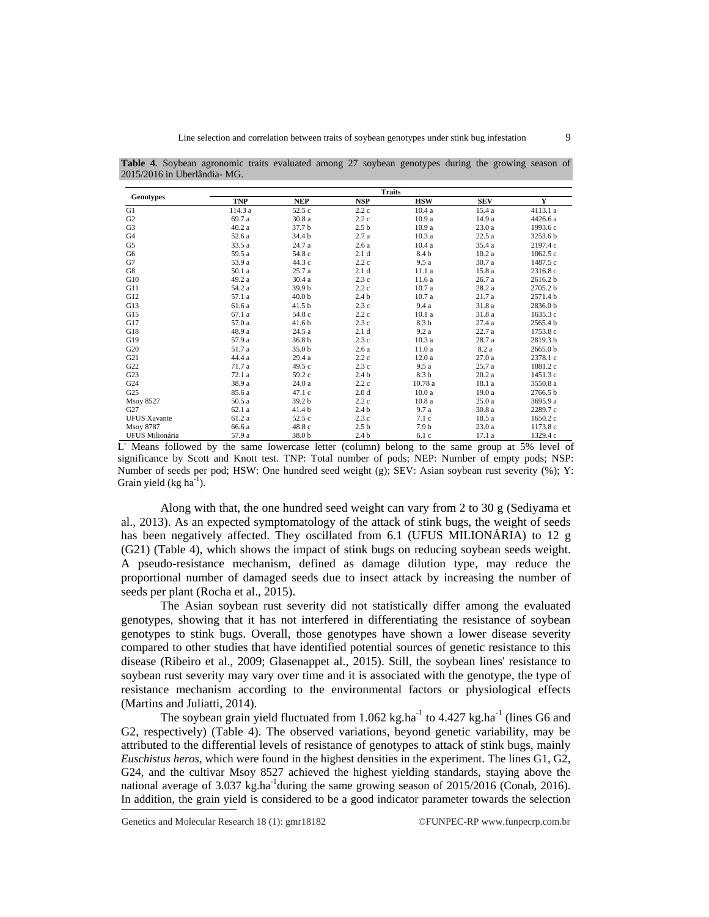|  | <b>Table 4.</b> Soybean agronomic traits evaluated among 27 soybean genotypes during the growing season of |  |  |  |  |  |  |
|--|------------------------------------------------------------------------------------------------------------|--|--|--|--|--|--|
|  | 2015/2016 in Uberlândia-MG.                                                                                |  |  |  |  |  |  |
|  |                                                                                                            |  |  |  |  |  |  |

|                        |                                      |                   | <b>Traits</b>        |                   |            |                     |
|------------------------|--------------------------------------|-------------------|----------------------|-------------------|------------|---------------------|
| <b>Genotypes</b>       | <b>TNP</b>                           | <b>NEP</b>        | <b>NSP</b>           | <b>HSW</b>        | <b>SEV</b> | Y                   |
| G1                     | 114.3 a                              | 52.5 c            | 2.2c                 | 10.4a             | 15.4 a     | 4113.1 a            |
| G2                     | 69.7 a                               | 30.8 a            | 2.2c                 | 10.9a             | 14.9 a     | 4426.6 a            |
| G <sub>3</sub>         | 40.2a                                | 37.7 b            | 2.5 <sub>b</sub>     | 10.9a             | 23.0a      | 1993.6 c            |
| G4                     | 52.6 a                               | 34.4 b            | 2.7a                 | 10.3a             | 22.5a      | 3253.6 b            |
| G5                     | 33.5 a                               | 24.7 a            | 2.6a                 | 10.4a             | 35.4 a     | 2197.4 c            |
| G6                     | 59.5 a                               | 54.8 c            | 2.1 <sub>d</sub>     | 8.4 b             | 10.2a      | 1062.5c             |
| G7                     | 53.9 a                               | 44.3 c            | 2.2c                 | 9.5a              | 30.7 a     | 1487.5 c            |
| G8                     | 50.1 a                               | 25.7 a            | 2.1 <sub>d</sub>     | 11.1 a            | 15.8 a     | 2316.8 c            |
| G10                    | 49.2 a                               | 30.4 a            | 2.3c                 | 11.6 a            | 26.7 a     | 2616.2 b            |
| G11                    | 54.2 a                               | 39.9 b            | 2.2c                 | 10.7a             | 28.2a      | 2705.2 b            |
| G12                    | 57.1 a                               | 40.0 <sub>b</sub> | 2.4 <sub>b</sub>     | 10.7a             | 21.7 a     | 2571.4 b            |
| G13                    | 61.6 a                               | 41.5 <sub>b</sub> | 2.3c                 | 9.4 a             | 31.8 a     | 2836.0 b            |
| G15                    | 67.1a                                | 54.8 c            | 2.2c                 | 10.1a             | 31.8 a     | 1635.3 c            |
| G17                    | 57.0 a                               | 41.6 <sub>b</sub> | 2.3c                 | 8.3 b             | 27.4a      | 2565.4 b            |
| G18                    | 48.9 a                               | 24.5 a            | 2.1 <sub>d</sub>     | 9.2a              | 22.7a      | 1753.8 c            |
| G19                    | 57.9 a                               | 36.8 <sub>b</sub> | 2.3c                 | 10.3a             | 28.7 a     | 2819.3 b            |
| G20                    | 51.7 a                               | 35.0 b            | 2.6a                 | 11.0a             | 8.2 a      | 2665.0 <sub>b</sub> |
| G21                    | 44.4 a                               | 29.4 a            | 2.2c                 | 12.0a             | 27.0a      | 2378.1 c            |
| G22                    | 71.7 a                               | 49.5 c            | 2.3c                 | 9.5a              | 25.7a      | 1881.2c             |
| G23                    | 72.1 a                               | 59.2 c            | 2.4 <sub>b</sub>     | 8.3 b             | 20.2a      | 1451.3 c            |
| G <sub>24</sub>        | 38.9 a                               | 24.0a             | 2.2c                 | 10.78 a           | 18.1 a     | 3550.8 a            |
| G25                    | 85.6 a                               | 47.1c             | 2.0 <sub>d</sub>     | 10.0a             | 19.0a      | 2766.5 b            |
| <b>Msoy 8527</b>       | 50.5 a                               | 39.2 b            | 2.2c                 | 10.8a             | 25.0a      | 3695.9 a            |
| G27                    | 62.1 a                               | 41.4 b            | 2.4 <sub>b</sub>     | 9.7a              | 30.8 a     | 2289.7 c            |
| <b>UFUS Xavante</b>    | 61.2 a                               | 52.5c             | 2.3c                 | 7.1c              | 18.5 a     | 1650.2 c            |
| <b>Msoy 8787</b>       | 66.6 a                               | 48.8c             | 2.5 <sub>b</sub>     | 7.9 <sub>b</sub>  | 23.0a      | 1173.8 c            |
| <b>UFUS Milionária</b> | 57.9 a                               | 38.0 b            | 2.4 <sub>b</sub>     | 6.1c              | 17.1a      | 1329.4 c            |
| 0.11<br>$\cdots$       | $\mathbf{1}$<br>$\mathbf{r}$<br>- 11 | $\mathbf{1}$      | $\sim$ $\sim$ $\sim$ | $\sim$ 1.1 $\sim$ |            | $-0.1$              |

L' Means followed by the same lowercase letter (column) belong to the same group at 5% level of significance by Scott and Knott test. TNP: Total number of pods; NEP: Number of empty pods; NSP: Number of seeds per pod; HSW: One hundred seed weight (g); SEV: Asian soybean rust severity (%); Y: Grain yield (kg ha $^{-1}$ ).

Along with that, the one hundred seed weight can vary from 2 to 30 g (Sediyama et al., 2013). As an expected symptomatology of the attack of stink bugs, the weight of seeds has been negatively affected. They oscillated from 6.1 (UFUS MILIONÁRIA) to 12 g (G21) (Table 4), which shows the impact of stink bugs on reducing soybean seeds weight. A pseudo-resistance mechanism, defined as damage dilution type, may reduce the proportional number of damaged seeds due to insect attack by increasing the number of seeds per plant (Rocha et al., 2015).

The Asian soybean rust severity did not statistically differ among the evaluated genotypes, showing that it has not interfered in differentiating the resistance of soybean genotypes to stink bugs. Overall, those genotypes have shown a lower disease severity compared to other studies that have identified potential sources of genetic resistance to this disease (Ribeiro et al., 2009; Glasenappet al., 2015). Still, the soybean lines' resistance to soybean rust severity may vary over time and it is associated with the genotype, the type of resistance mechanism according to the environmental factors or physiological effects (Martins and Juliatti, 2014).

The soybean grain yield fluctuated from 1.062 kg.ha<sup>-1</sup> to 4.427 kg.ha<sup>-1</sup> (lines G6 and G2, respectively) (Table 4). The observed variations, beyond genetic variability, may be attributed to the differential levels of resistance of genotypes to attack of stink bugs, mainly *Euschistus heros*, which were found in the highest densities in the experiment. The lines G1, G2, G24, and the cultivar Msoy 8527 achieved the highest yielding standards, staying above the national average of 3.037 kg.ha<sup>-1</sup>during the same growing season of 2015/2016 (Conab, 2016). In addition, the grain yield is considered to be a good indicator parameter towards the selection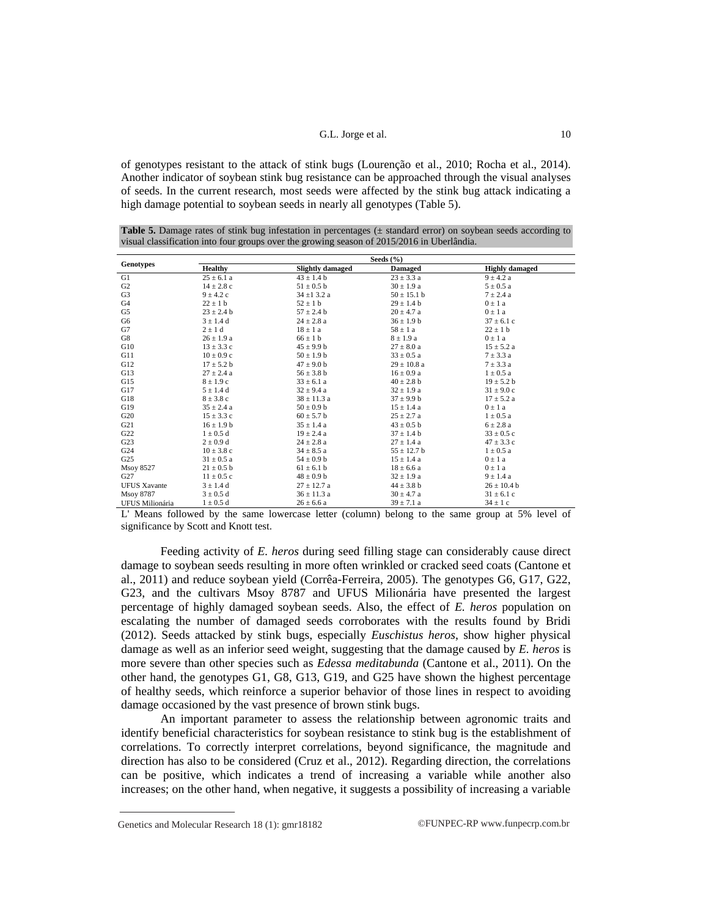of genotypes resistant to the attack of stink bugs (Lourenção et al., 2010; Rocha et al., 2014). Another indicator of soybean stink bug resistance can be approached through the visual analyses of seeds. In the current research, most seeds were affected by the stink bug attack indicating a high damage potential to soybean seeds in nearly all genotypes (Table 5).

**Table 5.** Damage rates of stink bug infestation in percentages ( $\pm$  standard error) on soybean seeds according to visual classification into four groups over the growing season of 2015/2016 in Uberlândia.

|                        |                |                         | Seeds $(\% )$   |                       |
|------------------------|----------------|-------------------------|-----------------|-----------------------|
| <b>Genotypes</b>       | <b>Healthy</b> | <b>Slightly damaged</b> | <b>Damaged</b>  | <b>Highly damaged</b> |
| G1                     | $25 \pm 6.1$ a | $43 \pm 1.4$ b          | $23 \pm 3.3$ a  | $9 \pm 4.2 a$         |
| G <sub>2</sub>         | $14 \pm 2.8$ c | $51 \pm 0.5$ b          | $30 \pm 1.9$ a  | $5 \pm 0.5$ a         |
| G3                     | $9 \pm 4.2$ c  | $34 \pm 13.2 a$         | $50 \pm 15.1$ b | $7 \pm 2.4$ a         |
| G4                     | $22 \pm 1$ b   | $52 \pm 1$ b            | $29 \pm 1.4 b$  | $0 \pm 1$ a           |
| G5                     | $23 \pm 2.4$ b | $57 \pm 2.4$ b          | $20 \pm 4.7$ a  | $0 \pm 1$ a           |
| G6                     | $3 \pm 1.4$ d  | $24 \pm 2.8$ a          | $36 \pm 1.9 b$  | $37 \pm 6.1$ c        |
| G7                     | $2 \pm 1$ d    | $18 \pm 1$ a            | $58 \pm 1$ a    | $22 \pm 1$ b          |
| G8                     | $26 \pm 1.9$ a | $66 \pm 1$ b            | $8 \pm 1.9 a$   | $0 \pm 1$ a           |
| G10                    | $13 \pm 3.3$ c | $45 \pm 9.9 b$          | $27 \pm 8.0$ a  | $15 \pm 5.2$ a        |
| G11                    | $10 \pm 0.9$ c | $50 \pm 1.9$ b          | $33 \pm 0.5$ a  | $7 \pm 3.3 a$         |
| G12                    | $17 \pm 5.2 b$ | $47 \pm 9.0$ b          | $29 \pm 10.8$ a | $7 \pm 3.3 a$         |
| G13                    | $27 \pm 2.4$ a | $56 \pm 3.8$ b          | $16 \pm 0.9$ a  | $1 \pm 0.5$ a         |
| G15                    | $8 \pm 1.9$ c  | $33 \pm 6.1$ a          | $40 \pm 2.8$ b  | $19 \pm 5.2 b$        |
| G17                    | $5 \pm 1.4$ d  | $32 \pm 9.4$ a          | $32 \pm 1.9$ a  | $31 \pm 9.0$ c        |
| G18                    | $8 \pm 3.8$ c  | $38 \pm 11.3$ a         | $37 \pm 9.9 b$  | $17 \pm 5.2$ a        |
| G19                    | $35 \pm 2.4$ a | $50 \pm 0.9$ b          | $15 \pm 1.4$ a  | $0 \pm 1$ a           |
| G <sub>20</sub>        | $15 \pm 3.3$ c | $60 \pm 5.7$ b          | $25 \pm 2.7$ a  | $1 \pm 0.5$ a         |
| G21                    | $16 \pm 1.9 b$ | $35 \pm 1.4$ a          | $43 \pm 0.5$ b  | $6 \pm 2.8$ a         |
| G22                    | $1 \pm 0.5$ d  | $19 \pm 2.4$ a          | $37 \pm 1.4$ b  | $33 \pm 0.5$ c        |
| G23                    | $2 \pm 0.9$ d  | $24 \pm 2.8$ a          | $27 \pm 1.4$ a  | $47 \pm 3.3$ c        |
| G24                    | $10 \pm 3.8$ c | $34 \pm 8.5$ a          | $55 \pm 12.7$ b | $1 \pm 0.5$ a         |
| G25                    | $31 \pm 0.5$ a | $54 \pm 0.9$ b          | $15 \pm 1.4$ a  | $0 \pm 1$ a           |
| <b>Msoy 8527</b>       | $21 \pm 0.5$ b | $61 \pm 6.1$ b          | $18 \pm 6.6$ a  | $0 \pm 1$ a           |
| G27                    | $11 \pm 0.5$ c | $48 \pm 0.9$ b          | $32 \pm 1.9$ a  | $9 \pm 1.4 a$         |
| <b>UFUS Xavante</b>    | $3 \pm 1.4$ d  | $27 \pm 12.7$ a         | $44 \pm 3.8$ b  | $26 \pm 10.4$ b       |
| Msoy 8787              | $3 \pm 0.5$ d  | $36 \pm 11.3$ a         | $30 \pm 4.7$ a  | $31 \pm 6.1$ c        |
| <b>UFUS Milionária</b> | $1 \pm 0.5$ d  | $26 \pm 6.6$ a          | $39 \pm 7.1$ a  | $34 \pm 1$ c          |

L' Means followed by the same lowercase letter (column) belong to the same group at 5% level of significance by Scott and Knott test.

Feeding activity of *E. heros* during seed filling stage can considerably cause direct damage to soybean seeds resulting in more often wrinkled or cracked seed coats (Cantone et al., 2011) and reduce soybean yield (Corrêa-Ferreira, 2005). The genotypes G6, G17, G22, G23, and the cultivars Msoy 8787 and UFUS Milionária have presented the largest percentage of highly damaged soybean seeds. Also, the effect of *E. heros* population on escalating the number of damaged seeds corroborates with the results found by Bridi (2012). Seeds attacked by stink bugs, especially *Euschistus heros*, show higher physical damage as well as an inferior seed weight, suggesting that the damage caused by *E. heros* is more severe than other species such as *Edessa meditabunda* (Cantone et al., 2011). On the other hand, the genotypes G1, G8, G13, G19, and G25 have shown the highest percentage of healthy seeds, which reinforce a superior behavior of those lines in respect to avoiding damage occasioned by the vast presence of brown stink bugs.

An important parameter to assess the relationship between agronomic traits and identify beneficial characteristics for soybean resistance to stink bug is the establishment of correlations. To correctly interpret correlations, beyond significance, the magnitude and direction has also to be considered (Cruz et al., 2012). Regarding direction, the correlations can be positive, which indicates a trend of increasing a variable while another also increases; on the other hand, when negative, it suggests a possibility of increasing a variable

Genetics and Molecular Research 18 (1): gmr18182 ©FUNPEC-RP [www.funpecrp.com.br](http://www.funpecrp.com.br)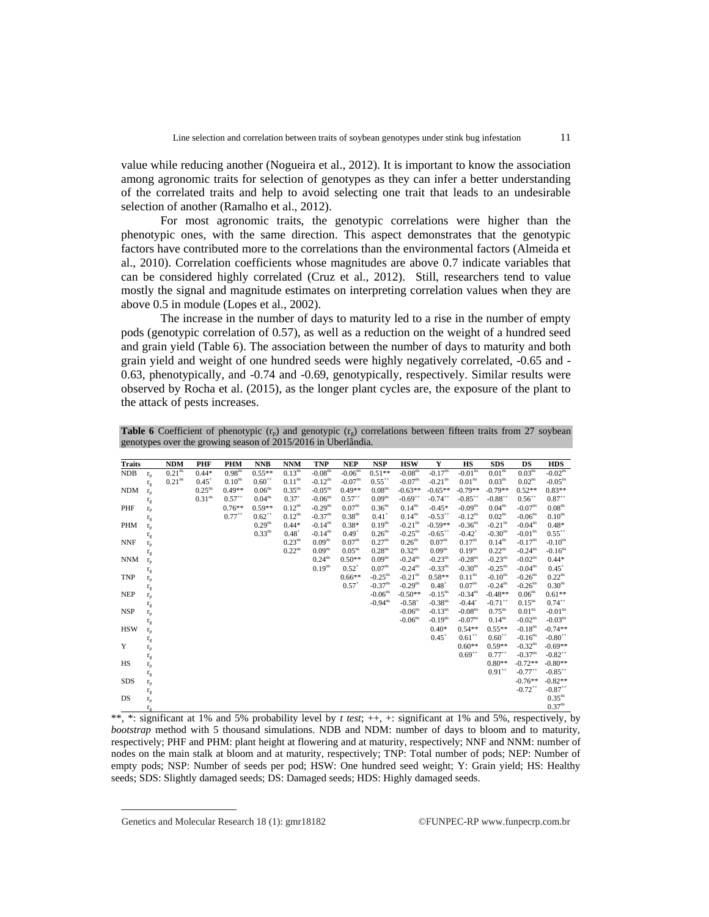value while reducing another (Nogueira et al., 2012). It is important to know the association among agronomic traits for selection of genotypes as they can infer a better understanding of the correlated traits and help to avoid selecting one trait that leads to an undesirable selection of another (Ramalho et al., 2012).

For most agronomic traits, the genotypic correlations were higher than the phenotypic ones, with the same direction. This aspect demonstrates that the genotypic factors have contributed more to the correlations than the environmental factors (Almeida et al., 2010). Correlation coefficients whose magnitudes are above 0.7 indicate variables that can be considered highly correlated (Cruz et al., 2012). Still, researchers tend to value mostly the signal and magnitude estimates on interpreting correlation values when they are above 0.5 in module (Lopes et al., 2002).

The increase in the number of days to maturity led to a rise in the number of empty pods (genotypic correlation of 0.57), as well as a reduction on the weight of a hundred seed and grain yield (Table 6). The association between the number of days to maturity and both grain yield and weight of one hundred seeds were highly negatively correlated, -0.65 and - 0.63, phenotypically, and -0.74 and -0.69, genotypically, respectively. Similar results were observed by Rocha et al. (2015), as the longer plant cycles are, the exposure of the plant to the attack of pests increases.

**Table 6** Coefficient of phenotypic  $(r_p)$  and genotypic  $(r_q)$  correlations between fifteen traits from 27 soybean genotypes over the growing season of 2015/2016 in Uberlândia.

| <b>Traits</b> |              | <b>NDM</b>         | PHF                | <b>PHM</b>         | <b>NNB</b>         | <b>NNM</b>         | <b>TNP</b>            | <b>NEP</b>            | <b>NSP</b>            | <b>HSW</b>            | Y                     | <b>HS</b>             | <b>SDS</b>            | DS                    | <b>HDS</b>            |
|---------------|--------------|--------------------|--------------------|--------------------|--------------------|--------------------|-----------------------|-----------------------|-----------------------|-----------------------|-----------------------|-----------------------|-----------------------|-----------------------|-----------------------|
| <b>NDB</b>    | $r_{p}$      | 0.21 <sup>ns</sup> | $0.44*$            | 0.98 <sup>ns</sup> | $0.55**$           | 0.13 <sup>ns</sup> | $-0.08ns$             | $-0.06$ <sup>ns</sup> | $0.51**$              | $-0.08$ <sup>ns</sup> | $-0.17^{ns}$          | $-0.01$ <sup>ns</sup> | 0.01 <sup>ns</sup>    | 0.03 <sup>ns</sup>    | $-0.02$ <sup>ns</sup> |
|               | $r_g$        | 0.21 <sup>ns</sup> | $0.45^+$           | 0.10 <sup>ns</sup> | $0.60^{++}$        | 0.11 <sup>ns</sup> | $-0.12$ <sup>ns</sup> | $-0.07^{\text{ns}}$   | $0.55^{++}$           | $-0.07$ <sup>ns</sup> | $-0.21$ <sup>ns</sup> | 0.01 <sup>ns</sup>    | 0.03 <sup>ns</sup>    | $0.02$ <sup>ns</sup>  | $-0.05ns$             |
| <b>NDM</b>    | $r_{p}$      |                    | $0.25^{ns}$        | $0.49**$           | 0.06 <sup>ns</sup> | 0.35 <sup>ns</sup> | $-0.05ns$             | $0.49**$              | 0.08 <sup>ns</sup>    | $-0.63**$             | $-0.65**$             | $-0.79**$             | $-0.79**$             | $0.52**$              | $0.83**$              |
|               | $r_{g}$      |                    | 0.31 <sup>ns</sup> | $0.57^{++}$        | 0.04 <sup>ns</sup> | $0.37^{+}$         | $-0.06$ <sup>ns</sup> | $0.57^{++}$           | $0.09^{ns}$           | $-0.69^{++}$          | $-0.74$ <sup>**</sup> | $-0.85$ <sup>**</sup> | $-0.88$ <sup>**</sup> | $0.56^{++}$           | $0.87^{++}$           |
| PHF           | $r_{p}$      |                    |                    | $0.76**$           | $0.59**$           | $0.12^{ns}$        | $-0.29$ <sup>ns</sup> | 0.07 <sup>ns</sup>    | 0.36 <sup>ns</sup>    | $0.14^{ns}$           | $-0.45*$              | $-0.09ns$             | 0.04 <sup>ns</sup>    | $-0.07^{\text{ns}}$   | 0.08 <sup>ns</sup>    |
|               | $r_g$        |                    |                    | $0.77^{++}$        | $0.62^{++}$        | $0.12^{ns}$        | $-0.37$ <sup>ns</sup> | 0.38 <sup>ns</sup>    | $0.41^{+}$            | 0.14 <sup>ns</sup>    | $-0.53$ <sup>**</sup> | $-0.12^{ns}$          | 0.02 <sup>ns</sup>    | $-0.06$ <sup>ns</sup> | 0.10 <sup>ns</sup>    |
| <b>PHM</b>    | $r_{p}$      |                    |                    |                    | 0.29 <sup>ns</sup> | $0.44*$            | $-0.14$ <sup>ns</sup> | $0.38*$               | 0.19 <sup>ns</sup>    | $-0.21$ <sup>ns</sup> | $-0.59**$             | $-0.36$ <sup>ns</sup> | $-0.21$ <sup>ns</sup> | $-0.04$ <sup>ns</sup> | $0.48*$               |
|               | $r_{g}$      |                    |                    |                    | 0.33 <sup>ns</sup> | $0.48^{+}$         | $-0.14$ <sup>ns</sup> | $0.49^{+}$            | $0.26$ <sup>ns</sup>  | $-0.25$ <sup>ns</sup> | $-0.65$ <sup>**</sup> | $-0.42$ <sup>+</sup>  | $-0.30$ <sup>ns</sup> | $-0.01ns$             | $0.55^{++}$           |
| <b>NNF</b>    | $r_{p}$      |                    |                    |                    |                    | 0.23 <sup>ns</sup> | 0.09 <sup>ns</sup>    | 0.07 <sup>ns</sup>    | $0.27^{ns}$           | 0.26 <sup>ns</sup>    | 0.07 <sup>ns</sup>    | $0.17^{ns}$           | $0.14^{ns}$           | $-0.17$ <sup>ns</sup> | $-0.10ns$             |
|               | $r_{g}$      |                    |                    |                    |                    | $0.22^{ns}$        | 0.09 <sup>ns</sup>    | 0.05 <sup>ns</sup>    | 0.28 <sup>ns</sup>    | $0.32^{ns}$           | 0.09 <sup>ns</sup>    | $0.19$ <sup>ns</sup>  | $0.22^{ns}$           | $-0.24$ <sup>ns</sup> | $-0.16$ <sup>ns</sup> |
| <b>NNM</b>    | $r_{p}$      |                    |                    |                    |                    |                    | $0.24^{ns}$           | $0.50**$              | 0.09 <sup>ns</sup>    | $-0.24$ <sup>ns</sup> | $-0.23$ <sup>ns</sup> | $-0.28ns$             | $-0.23$ <sup>ns</sup> | $-0.02$ <sup>ns</sup> | $0.44*$               |
|               | $r_{g}$      |                    |                    |                    |                    |                    | $0.19^{ns}$           | $0.52^{+}$            | 0.07 <sup>ns</sup>    | $-0.24$ <sup>ns</sup> | $-0.33$ <sup>ns</sup> | $-0.30ns$             | $-0.25$ <sup>ns</sup> | $-0.04$ <sup>ns</sup> | $0.45^{+}$            |
| <b>TNP</b>    | $r_{p}$      |                    |                    |                    |                    |                    |                       | $0.66**$              | $-0.25$ <sup>ns</sup> | $-0.21$ <sup>ns</sup> | $0.58**$              | $0.11$ <sup>ns</sup>  | $-0.10ns$             | $-0.26$ <sup>ns</sup> | $0.22^{ns}$           |
|               | $r_{g}$      |                    |                    |                    |                    |                    |                       | $0.57^{+}$            | $-0.37$ <sup>ns</sup> | $-0.29$ <sup>ns</sup> | $0.48^{+}$            | $0.07^{ns}$           | $-0.24$ <sup>ns</sup> | $-0.26$ <sup>ns</sup> | 0.30 <sup>ns</sup>    |
| <b>NEP</b>    | $r_{p}$      |                    |                    |                    |                    |                    |                       |                       | $-0.06$ <sup>ns</sup> | $-0.50**$             | $-0.15$ <sup>ns</sup> | $-0.34$ <sup>ns</sup> | $-0.48**$             | 0.06 <sup>ns</sup>    | $0.61**$              |
|               | $r_{g}$      |                    |                    |                    |                    |                    |                       |                       | $-0.94$ <sup>ns</sup> | $-0.58^{+}$           | $-0.38$ <sup>ns</sup> | $-0.44$ <sup>+</sup>  | $-0.71$ <sup>**</sup> | $0.15^{ns}$           | $0.74^{++}$           |
| <b>NSP</b>    | $r_{p}$      |                    |                    |                    |                    |                    |                       |                       |                       | $-0.06$ <sup>ns</sup> | $-0.13$ <sup>ns</sup> | $-0.08ns$             | $0.75$ <sup>ns</sup>  | 0.01 <sup>ns</sup>    | $-0.01ns$             |
|               | $\rm r_g$    |                    |                    |                    |                    |                    |                       |                       |                       | $-0.06$ <sup>ns</sup> | $-0.19^{ns}$          | $-0.07ns$             | 0.14 <sup>ns</sup>    | $-0.02$ <sup>ns</sup> | $-0.03ns$             |
| <b>HSW</b>    | $r_{p}$      |                    |                    |                    |                    |                    |                       |                       |                       |                       | $0.40*$               | $0.54**$              | $0.55**$              | $-0.18ns$             | $-0.74**$             |
|               | $r_{g}$      |                    |                    |                    |                    |                    |                       |                       |                       |                       | $0.45^+$              | $0.61^{++}$           | $0.60^{++}$           | $-0.16$ <sup>ns</sup> | $-0.80^{++}$          |
| Y             | $r_{p}$      |                    |                    |                    |                    |                    |                       |                       |                       |                       |                       | $0.60**$              | $0.59**$              | $-0.32$ <sup>ns</sup> | $-0.69**$             |
|               | $r_{g}$      |                    |                    |                    |                    |                    |                       |                       |                       |                       |                       | $0.69^{++}$           | $0.77^{++}$           | $-0.37$ <sup>ns</sup> | $-0.82$ <sup>**</sup> |
| HS            | $r_{p}$      |                    |                    |                    |                    |                    |                       |                       |                       |                       |                       |                       | $0.80**$              | $-0.72**$             | $-0.80**$             |
|               | $r_{g}$      |                    |                    |                    |                    |                    |                       |                       |                       |                       |                       |                       | $0.91^{++}$           | $-0.77$ <sup>++</sup> | $-0.85^{++}$          |
| <b>SDS</b>    | $r_{p}$      |                    |                    |                    |                    |                    |                       |                       |                       |                       |                       |                       |                       | $-0.76**$             | $-0.82**$             |
|               | $r_{\rm g}$  |                    |                    |                    |                    |                    |                       |                       |                       |                       |                       |                       |                       | $-0.72$ <sup>**</sup> | $-0.87$ <sup>**</sup> |
| DS            | $r_{p}$      |                    |                    |                    |                    |                    |                       |                       |                       |                       |                       |                       |                       |                       | 0.35 <sup>ns</sup>    |
|               | $r_{\sigma}$ |                    |                    |                    |                    |                    |                       |                       |                       |                       |                       |                       |                       |                       | 0.37 <sup>ns</sup>    |

\*\*, \*: significant at 1% and 5% probability level by *t test*; ++, +: significant at 1% and 5%, respectively, by *bootstrap* method with 5 thousand simulations. NDB and NDM: number of days to bloom and to maturity, respectively; PHF and PHM: plant height at flowering and at maturity, respectively; NNF and NNM: number of nodes on the main stalk at bloom and at maturity, respectively; TNP: Total number of pods; NEP: Number of empty pods; NSP: Number of seeds per pod; HSW: One hundred seed weight; Y: Grain yield; HS: Healthy seeds; SDS: Slightly damaged seeds; DS: Damaged seeds; HDS: Highly damaged seeds.

Genetics and Molecular Research 18 (1):  $gmr18182$  ©FUNPEC-RP [www.funpecrp.com.br](http://www.funpecrp.com.br)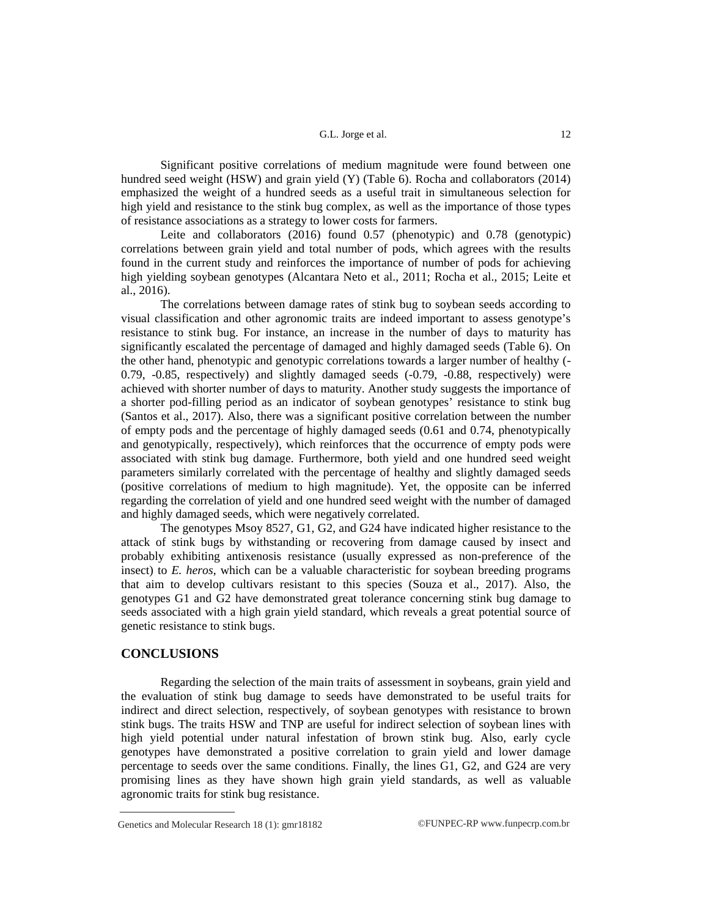Significant positive correlations of medium magnitude were found between one hundred seed weight (HSW) and grain yield (Y) (Table 6). Rocha and collaborators (2014) emphasized the weight of a hundred seeds as a useful trait in simultaneous selection for high yield and resistance to the stink bug complex, as well as the importance of those types of resistance associations as a strategy to lower costs for farmers.

Leite and collaborators (2016) found 0.57 (phenotypic) and 0.78 (genotypic) correlations between grain yield and total number of pods, which agrees with the results found in the current study and reinforces the importance of number of pods for achieving high yielding soybean genotypes (Alcantara Neto et al., 2011; Rocha et al., 2015; Leite et al., 2016).

The correlations between damage rates of stink bug to soybean seeds according to visual classification and other agronomic traits are indeed important to assess genotype's resistance to stink bug. For instance, an increase in the number of days to maturity has significantly escalated the percentage of damaged and highly damaged seeds (Table 6). On the other hand, phenotypic and genotypic correlations towards a larger number of healthy (- 0.79, -0.85, respectively) and slightly damaged seeds (-0.79, -0.88, respectively) were achieved with shorter number of days to maturity. Another study suggests the importance of a shorter pod-filling period as an indicator of soybean genotypes' resistance to stink bug (Santos et al., 2017). Also, there was a significant positive correlation between the number of empty pods and the percentage of highly damaged seeds (0.61 and 0.74, phenotypically and genotypically, respectively), which reinforces that the occurrence of empty pods were associated with stink bug damage. Furthermore, both yield and one hundred seed weight parameters similarly correlated with the percentage of healthy and slightly damaged seeds (positive correlations of medium to high magnitude). Yet, the opposite can be inferred regarding the correlation of yield and one hundred seed weight with the number of damaged and highly damaged seeds, which were negatively correlated.

The genotypes Msoy 8527, G1, G2, and G24 have indicated higher resistance to the attack of stink bugs by withstanding or recovering from damage caused by insect and probably exhibiting antixenosis resistance (usually expressed as non-preference of the insect) to *E. heros*, which can be a valuable characteristic for soybean breeding programs that aim to develop cultivars resistant to this species (Souza et al., 2017). Also, the genotypes G1 and G2 have demonstrated great tolerance concerning stink bug damage to seeds associated with a high grain yield standard, which reveals a great potential source of genetic resistance to stink bugs.

### **CONCLUSIONS**

Regarding the selection of the main traits of assessment in soybeans, grain yield and the evaluation of stink bug damage to seeds have demonstrated to be useful traits for indirect and direct selection, respectively, of soybean genotypes with resistance to brown stink bugs. The traits HSW and TNP are useful for indirect selection of soybean lines with high yield potential under natural infestation of brown stink bug. Also, early cycle genotypes have demonstrated a positive correlation to grain yield and lower damage percentage to seeds over the same conditions. Finally, the lines G1, G2, and G24 are very promising lines as they have shown high grain yield standards, as well as valuable agronomic traits for stink bug resistance.

Genetics and Molecular Research 18 (1): gmr18182 ©FUNPEC-RP [www.funpecrp.com.br](http://www.funpecrp.com.br)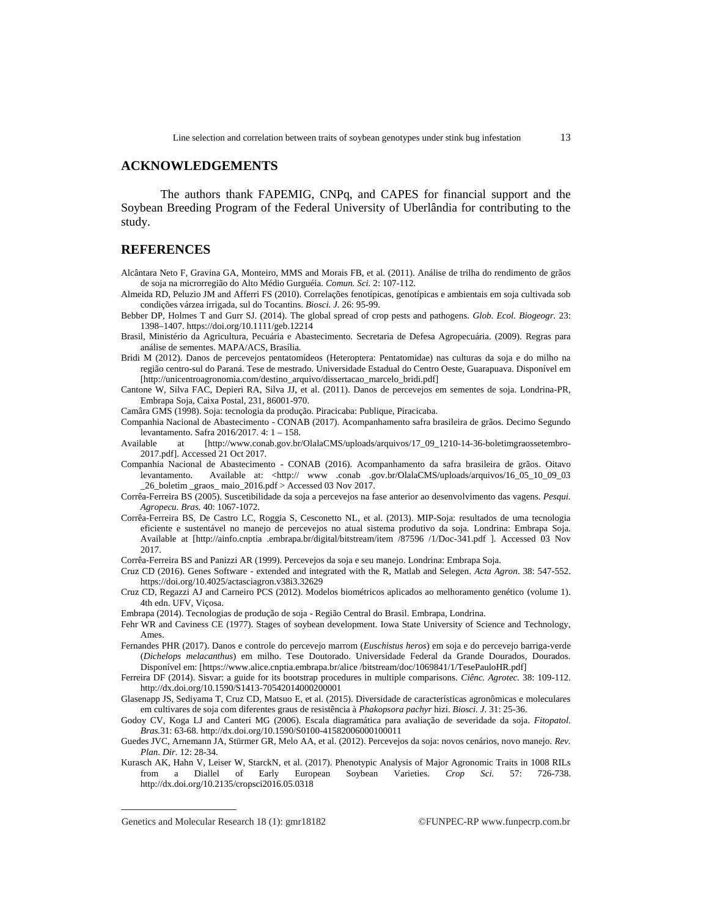### **ACKNOWLEDGEMENTS**

The authors thank FAPEMIG, CNPq, and CAPES for financial support and the Soybean Breeding Program of the Federal University of Uberlândia for contributing to the study.

### **REFERENCES**

- Alcântara Neto F, Gravina GA, Monteiro, MMS and Morais FB, et al. (2011). Análise de trilha do rendimento de grãos de soja na microrregião do Alto Médio Gurguéia. *Comun. Sci.* 2: 107-112.
- Almeida RD, Peluzio JM and Afferri FS (2010). Correlações fenotípicas, genotípicas e ambientais em soja cultivada sob condições várzea irrigada, sul do Tocantins. *Biosci. J.* 26: 95-99.
- Bebber DP, Holmes T and Gurr SJ. (2014). The global spread of crop pests and pathogens. *Glob. Ecol. Biogeogr.* 23: 1398–1407.<https://doi.org/10.1111/geb.12214>
- Brasil, Ministério da Agricultura, Pecuária e Abastecimento. Secretaria de Defesa Agropecuária. (2009). Regras para análise de sementes. MAPA/ACS, Brasília.
- Bridi M (2012). Danos de percevejos pentatomídeos (Heteroptera: Pentatomidae) nas culturas da soja e do milho na região centro-sul do Paraná. Tese de mestrado. Universidade Estadual do Centro Oeste, Guarapuava. Disponível em [\[http://unicentroagronomia.com/destino\\_arquivo/dissertacao\\_marcelo\\_bridi.pdf](http://unicentroagronomia.com/destino_arquivo/dissertacao_marcelo_bridi.pdf)]
- Cantone W, Silva FAC, Depieri RA, Silva JJ, et al. (2011). Danos de percevejos em sementes de soja. Londrina-PR, Embrapa Soja, Caixa Postal, 231, 86001-970.

Camâra GMS (1998). Soja: tecnologia da produção. Piracicaba: Publique, Piracicaba.

- Companhia Nacional de Abastecimento CONAB (2017). Acompanhamento safra brasileira de grãos. Decimo Segundo levantamento. Safra 2016/2017. 4: 1 – 158.<br>Available at [http://www.conab.gov.br.
- at [[http://www.conab.gov.br/OlalaCMS/uploads/arquivos/17\\_09\\_1210-14-36-boletimgraossetembro-](http://www.conab.gov.br/OlalaCMS/uploads/arquivos/17_09_1210-14-36-boletimgraossetembro-)2017.pdf]. Accessed 21 Oct 2017.
- Companhia Nacional de Abastecimento CONAB (2016). Acompanhamento da safra brasileira de grãos. Oitavo levantamento. Available at: [<http://](http://) www .conab .gov.br/OlalaCMS/uploads/arquivos/16\_05\_10\_09\_03 \_26\_boletim \_graos\_ maio\_2016.pdf > Accessed 03 Nov 2017.
- Corrêa-Ferreira BS (2005). Suscetibilidade da soja a percevejos na fase anterior ao desenvolvimento das vagens. *Pesqui. Agropecu. Bras.* 40: 1067-1072.
- Corrêa-Ferreira BS, De Castro LC, Roggia S, Cesconetto NL, et al. (2013). MIP-Soja: resultados de uma tecnologia eficiente e sustentável no manejo de percevejos no atual sistema produtivo da soja. Londrina: Embrapa Soja. Available at [\[http://ainfo.cnptia](http://ainfo.cnptia) .embrapa.br/digital/bitstream/item /87596 /1/Doc-341.pdf ]. Accessed 03 Nov 2017.
- Corrêa-Ferreira BS and Panizzi AR (1999). Percevejos da soja e seu manejo. Londrina: Embrapa Soja.
- Cruz CD (2016). Genes Software extended and integrated with the R, Matlab and Selegen. *Acta Agron*. 38: 547-552. <https://doi.org/10.4025/actasciagron.v38i3.32629>
- Cruz CD, Regazzi AJ and Carneiro PCS (2012). Modelos biométricos aplicados ao melhoramento genético (volume 1). 4th edn. UFV, Viçosa.
- Embrapa (2014). Tecnologias de produção de soja Região Central do Brasil. Embrapa, Londrina.
- Fehr WR and Caviness CE (1977). Stages of soybean development. Iowa State University of Science and Technology, **Ames**
- Fernandes PHR (2017). Danos e controle do percevejo marrom (*Euschistus heros*) em soja e do percevejo barriga-verde (*Dichelops melacanthus*) em milho. Tese Doutorado. Universidade Federal da Grande Dourados, Dourados. Disponível em: [\[https://www.alice.cnptia.embrapa.br/alice](https://www.alice.cnptia.embrapa.br/alice) /bitstream/doc/1069841/1/TesePauloHR.pdf]
- Ferreira DF (2014). Sisvar: a guide for its bootstrap procedures in multiple comparisons. *Ciênc. Agrotec.* 38: 109-112. <http://dx.doi.org/10.1590/S1413-70542014000200001>
- Glasenapp JS, Sediyama T, Cruz CD, Matsuo E, et al. (2015). Diversidade de características agronômicas e moleculares em cultivares de soja com diferentes graus de resistência à *Phakopsora pachyr* hizi. *Biosci. J.* 31: 25-36.
- Godoy CV, Koga LJ and Canteri MG (2006). Escala diagramática para avaliação de severidade da soja. *Fitopatol. Bras.*31: 63-68.<http://dx.doi.org/10.1590/S0100-41582006000100011>
- Guedes JVC, Arnemann JA, Stürmer GR, Melo AA, et al. (2012). Percevejos da soja: novos cenários, novo manejo. *Rev. Plan. Dir.* 12: 28-34.
- Kurasch AK, Hahn V, Leiser W, StarckN, et al. (2017). Phenotypic Analysis of Major Agronomic Traits in 1008 RILs from a Diallel of Early European Soybean Varieties. *Crop Sci.* 57: 726-738. <http://dx.doi.org/10.2135/cropsci2016.05.0318>

Genetics and Molecular Research 18 (1):  $gmr18182$  ©FUNPEC-RP [www.funpecrp.com.br](http://www.funpecrp.com.br)